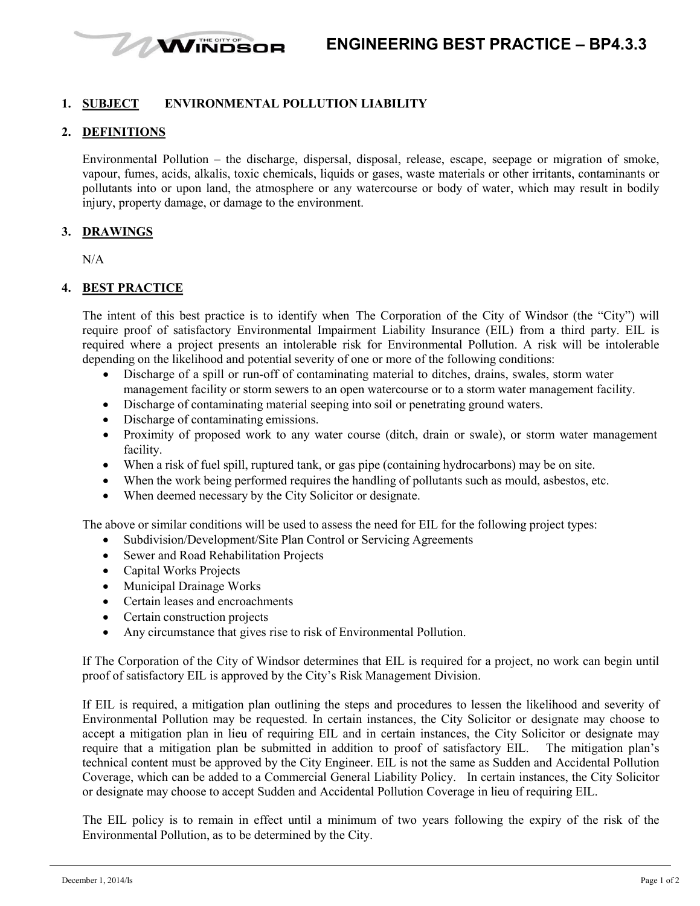

## **1. SUBJECT ENVIRONMENTAL POLLUTION LIABILITY**

#### **2. DEFINITIONS**

Environmental Pollution – the discharge, dispersal, disposal, release, escape, seepage or migration of smoke, vapour, fumes, acids, alkalis, toxic chemicals, liquids or gases, waste materials or other irritants, contaminants or pollutants into or upon land, the atmosphere or any watercourse or body of water, which may result in bodily injury, property damage, or damage to the environment.

#### **3. DRAWINGS**

N/A

## **4. BEST PRACTICE**

The intent of this best practice is to identify when The Corporation of the City of Windsor (the "City") will require proof of satisfactory Environmental Impairment Liability Insurance (EIL) from a third party. EIL is required where a project presents an intolerable risk for Environmental Pollution. A risk will be intolerable depending on the likelihood and potential severity of one or more of the following conditions:

- Discharge of a spill or run-off of contaminating material to ditches, drains, swales, storm water management facility or storm sewers to an open watercourse or to a storm water management facility.
- Discharge of contaminating material seeping into soil or penetrating ground waters.
- Discharge of contaminating emissions.
- Proximity of proposed work to any water course (ditch, drain or swale), or storm water management facility.
- When a risk of fuel spill, ruptured tank, or gas pipe (containing hydrocarbons) may be on site.
- When the work being performed requires the handling of pollutants such as mould, asbestos, etc.
- When deemed necessary by the City Solicitor or designate.

The above or similar conditions will be used to assess the need for EIL for the following project types:

- Subdivision/Development/Site Plan Control or Servicing Agreements
- Sewer and Road Rehabilitation Projects
- Capital Works Projects
- Municipal Drainage Works
- Certain leases and encroachments
- Certain construction projects
- Any circumstance that gives rise to risk of Environmental Pollution.

If The Corporation of the City of Windsor determines that EIL is required for a project, no work can begin until proof of satisfactory EIL is approved by the City's Risk Management Division.

If EIL is required, a mitigation plan outlining the steps and procedures to lessen the likelihood and severity of Environmental Pollution may be requested. In certain instances, the City Solicitor or designate may choose to accept a mitigation plan in lieu of requiring EIL and in certain instances, the City Solicitor or designate may require that a mitigation plan be submitted in addition to proof of satisfactory EIL. The mitigation plan's technical content must be approved by the City Engineer. EIL is not the same as Sudden and Accidental Pollution Coverage, which can be added to a Commercial General Liability Policy. In certain instances, the City Solicitor or designate may choose to accept Sudden and Accidental Pollution Coverage in lieu of requiring EIL.

The EIL policy is to remain in effect until a minimum of two years following the expiry of the risk of the Environmental Pollution, as to be determined by the City.